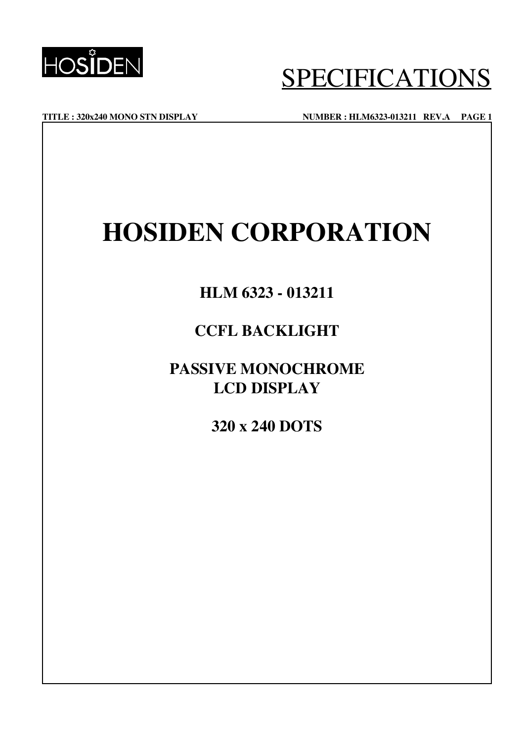

**TITLE : 320x240 MONO STN DISPLAY NUMBER : HLM6323-013211 REV.A PAGE 1**

## **HOSIDEN CORPORATION**

## **HLM 6323 - 013211**

## **CCFL BACKLIGHT**

## **PASSIVE MONOCHROME LCD DISPLAY**

**320 x 240 DOTS**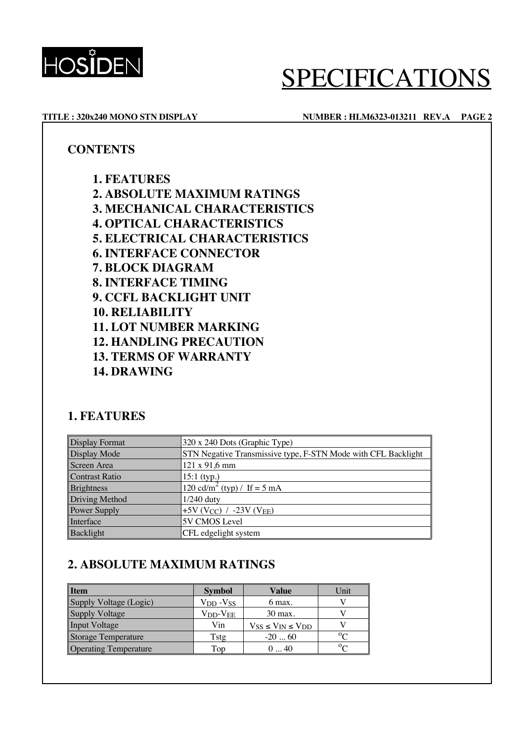

### **TITLE : 320x240 MONO STN DISPLAY NUMBER : HLM6323-013211 REV.A PAGE 2**

### **CONTENTS**

**1. FEATURES 2. ABSOLUTE MAXIMUM RATINGS 3. MECHANICAL CHARACTERISTICS 4. OPTICAL CHARACTERISTICS 5. ELECTRICAL CHARACTERISTICS 6. INTERFACE CONNECTOR 7. BLOCK DIAGRAM 8. INTERFACE TIMING 9. CCFL BACKLIGHT UNIT 10. RELIABILITY 11. LOT NUMBER MARKING 12. HANDLING PRECAUTION 13. TERMS OF WARRANTY 14. DRAWING**

## **1. FEATURES**

| <b>Display Format</b> | 320 x 240 Dots (Graphic Type)                                 |  |  |
|-----------------------|---------------------------------------------------------------|--|--|
| Display Mode          | STN Negative Transmissive type, F-STN Mode with CFL Backlight |  |  |
| Screen Area           | 121 x 91,6 mm                                                 |  |  |
| <b>Contrast Ratio</b> | $15:1$ (typ.)                                                 |  |  |
| <b>Brightness</b>     | 120 cd/m <sup>2</sup> (typ) / If = 5 mA                       |  |  |
| Driving Method        | $1/240$ duty                                                  |  |  |
| Power Supply          | +5V (V <sub>CC</sub> ) / -23V (V <sub>EE</sub> )              |  |  |
| Interface             | 5V CMOS Level                                                 |  |  |
| Backlight             | CFL edgelight system                                          |  |  |

## **2. ABSOLUTE MAXIMUM RATINGS**

| <b>I</b> tem                 | <b>Symbol</b>                    | <b>Value</b>                   | Unit      |
|------------------------------|----------------------------------|--------------------------------|-----------|
| Supply Voltage (Logic)       | V <sub>DD</sub> -V <sub>SS</sub> | $6$ max.                       |           |
| <b>Supply Voltage</b>        | $V_{DD}$ - $V_{EE}$              | 30 max.                        |           |
| <b>Input Voltage</b>         | Vin                              | $V_{SS} \le V_{IN} \le V_{DD}$ |           |
| <b>Storage Temperature</b>   | Tstg                             | $-2060$                        | $0\Omega$ |
| <b>Operating Temperature</b> | Top                              | 040                            | $0\Omega$ |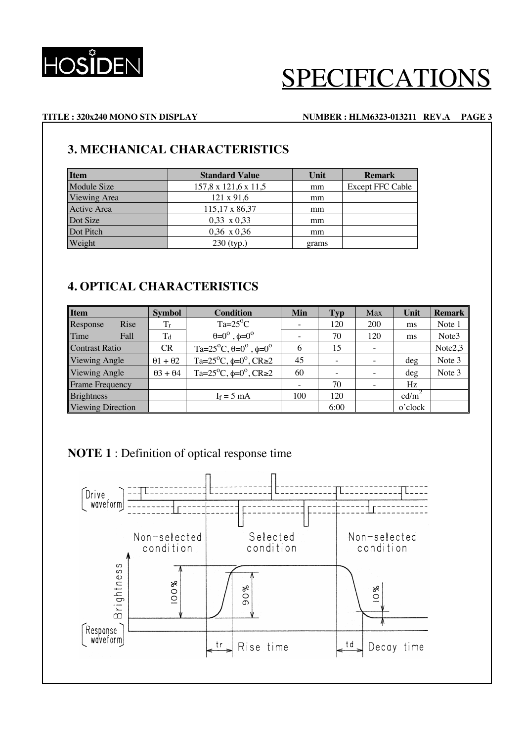

### **TITLE : 320x240 MONO STN DISPLAY NUMBER : HLM6323-013211 REV.A PAGE 3**

## **3. MECHANICAL CHARACTERISTICS**

| <b>Item</b>  | <b>Standard Value</b> | Unit  | <b>Remark</b>           |
|--------------|-----------------------|-------|-------------------------|
| Module Size  | 157,8 x 121,6 x 11,5  | mm    | <b>Except FFC Cable</b> |
| Viewing Area | $121 \times 91,6$     | mm    |                         |
| Active Area  | 115,17 x 86,37        | mm    |                         |
| Dot Size     | $0,33 \times 0,33$    | mm    |                         |
| Dot Pitch    | $0,36 \times 0,36$    | mm    |                         |
| Weight       | $230$ (typ.)          | grams |                         |

## **4. OPTICAL CHARACTERISTICS**

| <b>Item</b>              | <b>Symbol</b>           | <b>Condition</b>                                          |     | <b>Typ</b> | Max        | Unit     | <b>Remark</b> |
|--------------------------|-------------------------|-----------------------------------------------------------|-----|------------|------------|----------|---------------|
| Rise<br>Response         | $T_r$                   | $Ta=25^{\circ}C$                                          |     | 120        | <b>200</b> | ms       | Note 1        |
| Time<br>Fall             | T <sub>d</sub>          | $\theta = 0^\circ$ , $\phi = 0^\circ$                     |     | 70         | 120        | ms       | Note3         |
| <b>Contrast Ratio</b>    | <b>CR</b>               | Ta= $25^{\circ}$ C, $\theta=0^{\circ}$ , $\phi=0^{\circ}$ | 6   | 15         |            |          | Note2,3       |
| Viewing Angle            | $\theta$ 1 + $\theta$ 2 | Ta= $25^{\circ}$ C, $\phi=0^{\circ}$ , CR $\geq 2$        | 45  |            |            | $\deg$   | Note 3        |
| Viewing Angle            | $\theta$ 3 + $\theta$ 4 | Ta= $25^{\circ}$ C, $\phi=0^{\circ}$ , CR $\geq 2$        | 60  |            |            | $\deg$   | Note 3        |
| <b>Frame Frequency</b>   |                         |                                                           |     | 70         |            | Hz       |               |
| <b>Brightness</b>        |                         | $I_f = 5$ mA                                              | 100 | 120        |            | $cd/m^2$ |               |
| <b>Viewing Direction</b> |                         |                                                           |     | 6:00       |            | o'clock  |               |

## **NOTE 1** : Definition of optical response time

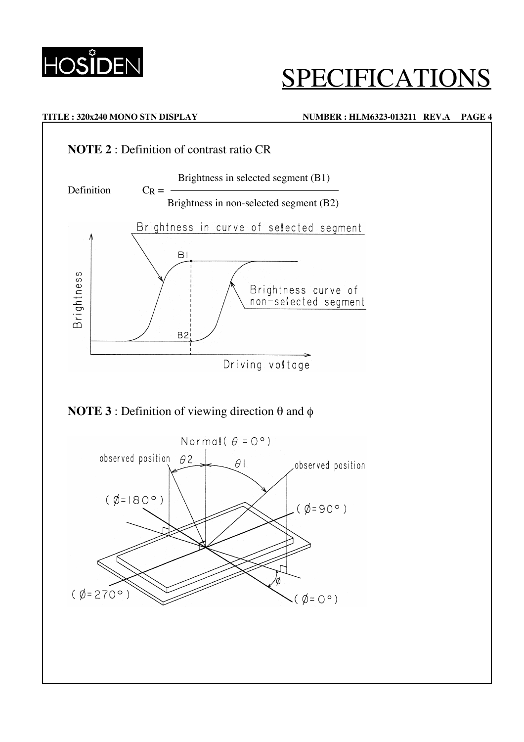

### **TITLE : 320x240 MONO STN DISPLAY NUMBER : HLM6323-013211 REV.A PAGE 4**



## **NOTE 3** : Definition of viewing direction θ and φ

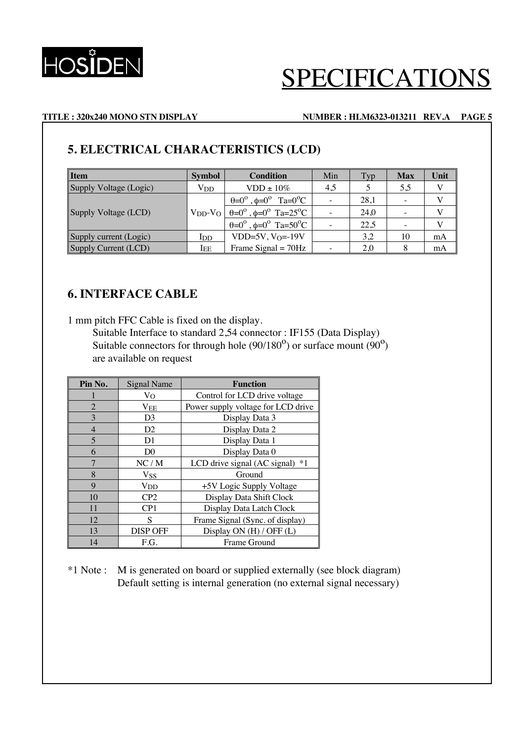

### **TITLE : 320x240 MONO STN DISPLAY NUMBER : HLM6323-013211 REV.A PAGE 5**

## **5. ELECTRICAL CHARACTERISTICS (LCD)**

| <b>I</b> tem           | <b>Condition</b><br><b>Symbol</b> |                                                                | Min | <b>Typ</b> | <b>Max</b> | Unit |
|------------------------|-----------------------------------|----------------------------------------------------------------|-----|------------|------------|------|
| Supply Voltage (Logic) | <b>V<sub>DD</sub></b>             | $VDD \pm 10\%$                                                 | 4,5 |            | 5,5        | V    |
|                        |                                   | $\theta = 0^{\circ}$ , $\phi = 0^{\circ}$ Ta= $0^{\circ}$ C    |     | 28.1       |            |      |
| Supply Voltage (LCD)   | $V_{DD}$ - $V_{O}$                | $\theta = 0^{\circ}$ , $\phi = 0^{\circ}$ Ta=25 <sup>o</sup> C |     | 24.0       |            |      |
|                        |                                   | $\theta = 0^{\circ}$ , $\phi = 0^{\circ}$ Ta=50 <sup>o</sup> C |     | 22,5       |            |      |
| Supply current (Logic) | I <sub>DD</sub>                   | $VDD=5V$ , $V_O=19V$                                           |     | 3,2        | 10         | mA   |
| Supply Current (LCD)   | $I_{EE}$                          | Frame Signal $= 70$ Hz                                         |     | 2,0        |            | mA   |

## **6. INTERFACE CABLE**

1 mm pitch FFC Cable is fixed on the display.

Suitable Interface to standard 2,54 connector : IF155 (Data Display) Suitable connectors for through hole  $(90/180^{\circ})$  or surface mount  $(90^{\circ})$ are available on request

| Pin No.        | Signal Name           | <b>Function</b>                      |
|----------------|-----------------------|--------------------------------------|
|                | Vo                    | Control for LCD drive voltage        |
| $\overline{2}$ | $\rm V_{EE}$          | Power supply voltage for LCD drive   |
| $\mathcal{E}$  | D <sub>3</sub>        | Display Data 3                       |
| $\overline{4}$ | D2                    | Display Data 2                       |
| 5              | D1                    | Display Data 1                       |
| 6              | D <sub>0</sub>        | Display Data 0                       |
| 7              | NC/M                  | LCD drive signal $(AC$ signal $)$ *1 |
| 8              | <b>V<sub>SS</sub></b> | Ground                               |
| 9              | $_{\rm VDD}$          | +5V Logic Supply Voltage             |
| 10             | CP <sub>2</sub>       | Display Data Shift Clock             |
| 11             | CP1                   | Display Data Latch Clock             |
| 12             | S                     | Frame Signal (Sync. of display)      |
| 13             | <b>DISP OFF</b>       | Display ON (H) / OFF (L)             |
| 14             | F.G.                  | Frame Ground                         |

\*1 Note : M is generated on board or supplied externally (see block diagram) Default setting is internal generation (no external signal necessary)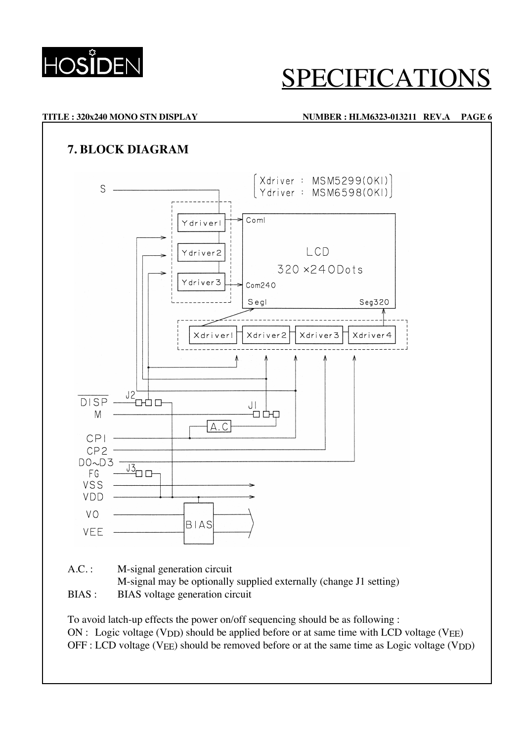

# ECIFICAT

### **TITLE : 320x240 MONO STN DISPLAY NUMBER : HLM6323-013211 REV.A PAGE 6**

## **7. BLOCK DIAGRAM**



- A.C. : M-signal generation circuit
	- M-signal may be optionally supplied externally (change J1 setting)
- BIAS : BIAS voltage generation circuit

To avoid latch-up effects the power on/off sequencing should be as following :  $ON:$  Logic voltage (V<sub>DD</sub>) should be applied before or at same time with LCD voltage (V<sub>EE</sub>)  $OFF: LCD$  voltage (V<sub>EE</sub>) should be removed before or at the same time as Logic voltage (V<sub>DD</sub>)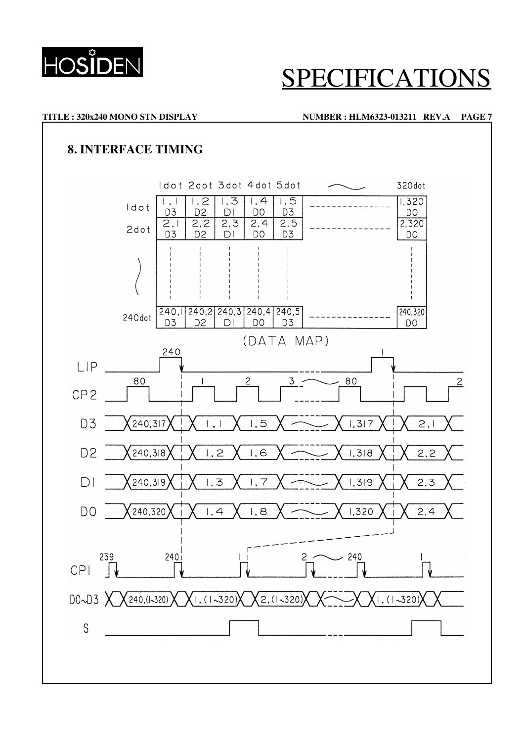

### **TITLE : 320x240 MONO STN DISPLAY NUMBER : HLM6323-013211 REV.A PAGE 7**

## **8. INTERFACE TIMING**

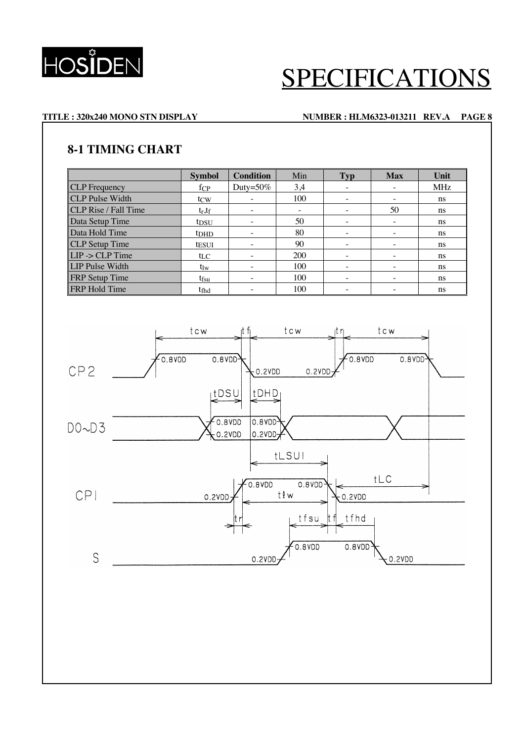

### **TITLE : 320x240 MONO STN DISPLAY NUMBER : HLM6323-013211 REV.A PAGE 8**

### **8-1 TIMING CHART**

|                             | <b>Symbol</b>    | <b>Condition</b>         | Min | <b>Typ</b>               | <b>Max</b> | Unit          |
|-----------------------------|------------------|--------------------------|-----|--------------------------|------------|---------------|
| <b>CLP</b> Frequency        | $f_{\rm CP}$     | Duty= $50\%$             | 3,4 | $\overline{\phantom{a}}$ |            | <b>MHz</b>    |
| <b>CLP</b> Pulse Width      | t <sub>CW</sub>  |                          | 100 | $\overline{\phantom{0}}$ |            | <sub>ns</sub> |
| <b>CLP</b> Rise / Fall Time | $t_r$ , $t_f$    |                          |     | $\overline{\phantom{a}}$ | 50         | ns            |
| Data Setup Time             | t <sub>DSU</sub> |                          | 50  | $\overline{\phantom{a}}$ |            | <sub>ns</sub> |
| Data Hold Time              | t <sub>DHD</sub> |                          | 80  | $\overline{\phantom{a}}$ |            | ns            |
| <b>CLP</b> Setup Time       | <b>tesui</b>     |                          | 90  | $\overline{\phantom{a}}$ |            | <sub>ns</sub> |
| $LIP$ -> $CLP$ Time         | $t_{LC}$         |                          | 200 | $\overline{\phantom{0}}$ |            | <sub>ns</sub> |
| <b>LIP Pulse Width</b>      | tlw              | $\overline{\phantom{0}}$ | 100 | $\equiv$                 |            | ns            |
| <b>FRP</b> Setup Time       | t <sub>fsu</sub> |                          | 100 | $\overline{\phantom{0}}$ |            | ns            |
| <b>FRP</b> Hold Time        | t <sub>fhd</sub> |                          | 100 | $\overline{\phantom{a}}$ |            | <sub>ns</sub> |

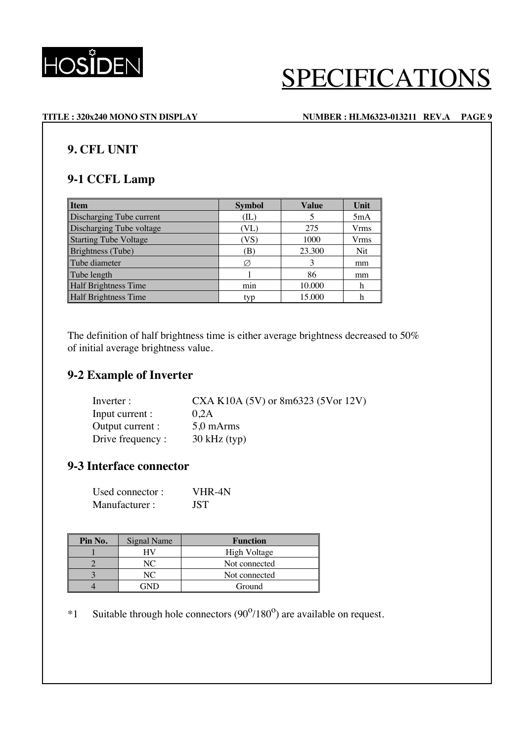

### **TITLE : 320x240 MONO STN DISPLAY NUMBER : HLM6323-013211 REV.A PAGE 9**

### **9. CFL UNIT**

### **9-1 CCFL Lamp**

| <b>Item</b>                  | <b>Symbol</b>    | <b>Value</b> | Unit |
|------------------------------|------------------|--------------|------|
| Discharging Tube current     | (IL)             |              | 5mA  |
| Discharging Tube voltage     | (VL)             | 275          | Vrms |
| <b>Starting Tube Voltage</b> | VS`              | 1000         | Vrms |
| Brightness (Tube)            | ΈĐ)              | 23.300       | Nit  |
| Tube diameter                |                  |              | mm   |
| Tube length                  |                  | 86           | mm   |
| <b>Half Brightness Time</b>  | m <sub>1</sub> n | 10.000       | h    |
| <b>Half Brightness Time</b>  | typ              | 15.000       |      |

The definition of half brightness time is either average brightness decreased to 50% of initial average brightness value.

### **9-2 Example of Inverter**

| Inverter :        | CXA K10A $(5V)$ or 8m6323 $(5Vor 12V)$ |
|-------------------|----------------------------------------|
| Input current :   | 0.2A                                   |
| Output current :  | $5.0$ mArms                            |
| Drive frequency : | $30$ kHz (typ)                         |

## **9-3 Interface connector**

| Used connector: | VHR-4N     |
|-----------------|------------|
| Manufacturer:   | <b>JST</b> |

| Pin No. | Signal Name | <b>Function</b> |
|---------|-------------|-----------------|
|         |             | High Voltage    |
|         |             | Not connected   |
|         |             | Not connected   |
|         |             | Ground          |

\*1 Suitable through hole connectors  $(90^{\circ}/180^{\circ})$  are available on request.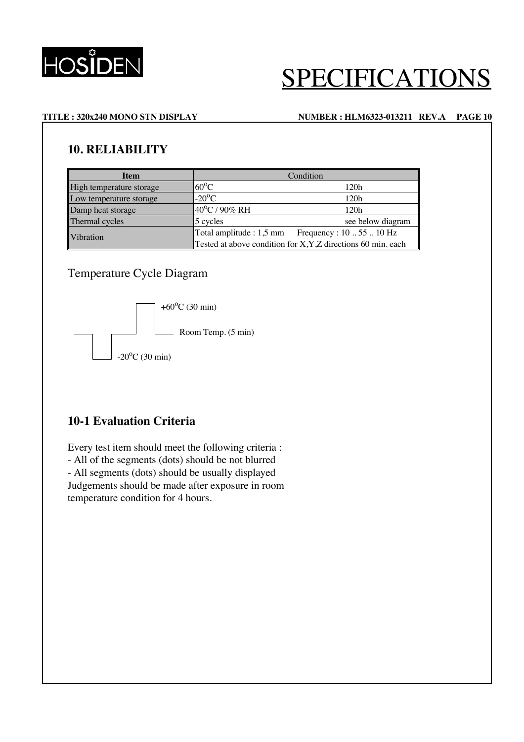

### **TITLE : 320x240 MONO STN DISPLAY NUMBER : HLM6323-013211 REV.A PAGE 10**

### **10. RELIABILITY**

| <b>Item</b>              | Condition                                                     |                   |  |  |
|--------------------------|---------------------------------------------------------------|-------------------|--|--|
| High temperature storage | $60^{\circ}$ C                                                | 120h              |  |  |
| Low temperature storage  | $-20^{\circ}$ C                                               | 120h              |  |  |
| Damp heat storage        | 40°C / 90% RH                                                 | 120h              |  |  |
| Thermal cycles           | 5 cycles                                                      | see below diagram |  |  |
| Vibration                | Frequency : $105510$ Hz<br>Total amplitude : 1,5 mm           |                   |  |  |
|                          | Tested at above condition for X, Y, Z directions 60 min. each |                   |  |  |

### Temperature Cycle Diagram



### **10-1 Evaluation Criteria**

Every test item should meet the following criteria : - All of the segments (dots) should be not blurred - All segments (dots) should be usually displayed Judgements should be made after exposure in room temperature condition for 4 hours.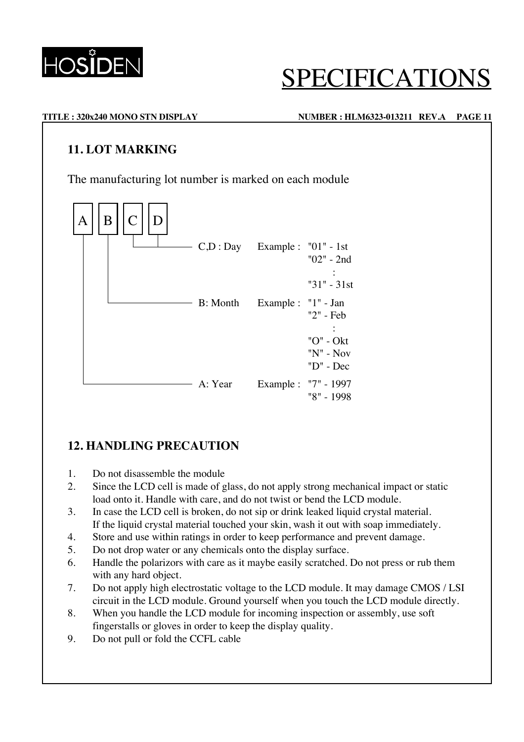

# ECIFICATIO

### **TITLE : 320x240 MONO STN DISPLAY NUMBER : HLM6323-013211 REV.A PAGE 11**

### **11. LOT MARKING**

The manufacturing lot number is marked on each module



## **12. HANDLING PRECAUTION**

- 1. Do not disassemble the module
- 2. Since the LCD cell is made of glass, do not apply strong mechanical impact or static load onto it. Handle with care, and do not twist or bend the LCD module.
- 3. In case the LCD cell is broken, do not sip or drink leaked liquid crystal material. If the liquid crystal material touched your skin, wash it out with soap immediately.
- 4. Store and use within ratings in order to keep performance and prevent damage.
- 5. Do not drop water or any chemicals onto the display surface.
- 6. Handle the polarizors with care as it maybe easily scratched. Do not press or rub them with any hard object.
- 7. Do not apply high electrostatic voltage to the LCD module. It may damage CMOS / LSI circuit in the LCD module. Ground yourself when you touch the LCD module directly.
- 8. When you handle the LCD module for incoming inspection or assembly, use soft fingerstalls or gloves in order to keep the display quality.
- 9. Do not pull or fold the CCFL cable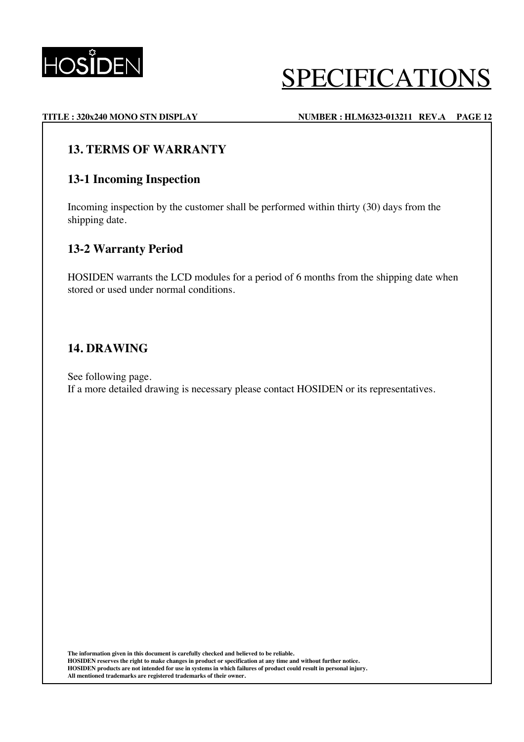

### **TITLE : 320x240 MONO STN DISPLAY NUMBER : HLM6323-013211 REV.A PAGE 12**

### **13. TERMS OF WARRANTY**

### **13-1 Incoming Inspection**

Incoming inspection by the customer shall be performed within thirty (30) days from the shipping date.

### **13-2 Warranty Period**

HOSIDEN warrants the LCD modules for a period of 6 months from the shipping date when stored or used under normal conditions.

### **14. DRAWING**

See following page. If a more detailed drawing is necessary please contact HOSIDEN or its representatives.

**The information given in this document is carefully checked and believed to be reliable. HOSIDEN reserves the right to make changes in product or specification at any time and without further notice. HOSIDEN products are not intended for use in systems in which failures of product could result in personal injury. All mentioned trademarks are registered trademarks of their owner.**